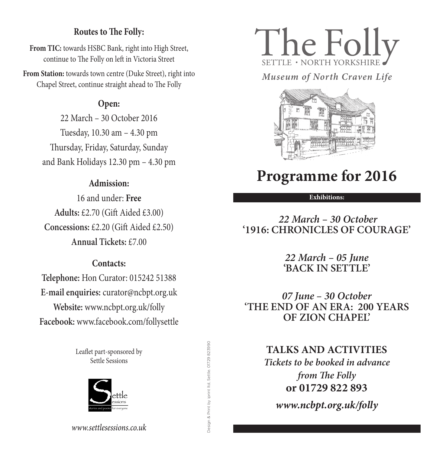# **Routes to The Folly:**

**From TIC:** towards HSBC Bank, right into High Street, continue to The Folly on left in Victoria Street

**From Station:** towards town centre (Duke Street), right into **n Station:** towards town centre (Duke Street), right into *Museum of North Craven Life*<br>
Chapel Street, continue straight ahead to The Folly

# **Open:**

22 March – 30 October 2016 Tuesday, 10.30 am – 4.30 pm Thursday, Friday, Saturday, Sunday and Bank Holidays 12.30 pm – 4.30 pm

# **Admission:**

16 and under: **Free Adults:** £2.70 (Gift Aided £3.00) **Concessions:** £2.20 (Gift Aided £2.50) **Annual Tickets:** £7.00

## **Contacts:**

**Telephone:** Hon Curator: 015242 51388 **E-mail enquiries:** curator@ncbpt.org.uk **Website:** www.ncbpt.org.uk/folly **Facebook:** www.facebook.com/follysettle

> Leaflet part-sponsored by Settle Sessions



Design & Print by iprint ltd, Settle. 01729 823990 Design & Print by iprint ltd, Settle. 01729 823990





# **Programme for 2016**

#### **Exhibitions:**

# *22 March – 30 October* **'1916: CHRONICLES OF COURAGE'**

*22 March – 05 June* **'BACK IN SETTLE'**

*07 June – 30 October* **'THE END OF AN ERA: 200 YEARS OF ZION CHAPEL'**

# **TALKS AND ACTIVITIES**

*Tickets to be booked in advance from The Folly* **or 01729 822 893**

*www.ncbpt.org.uk/folly*

*www.settlesessions.co.uk*